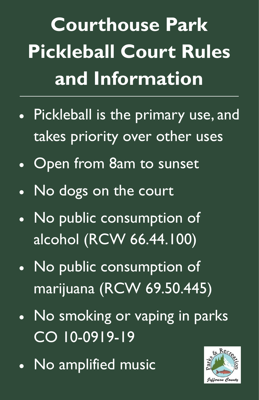**Courthouse Park Pickleball Court Rules and Information** 

- Pickleball is the primary use, and takes priority over other uses
- Open from 8am to sunset
- No dogs on the court
- No public consumption of alcohol (RCW 66.44.100)
- No public consumption of marijuana (RCW 69.50.445)

## No smoking or vaping in parks CO 10-0919-19

### No amplified music